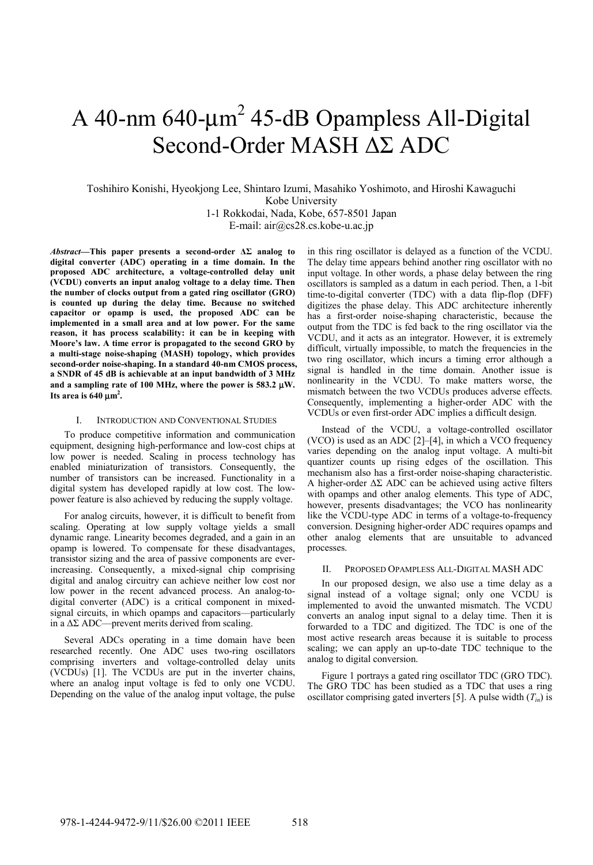# A 40-nm  $640$ - $\mu$ m<sup>2</sup> 45-dB Opampless All-Digital Second-Order MASH ΔΣ ADC

## Toshihiro Konishi, Hyeokjong Lee, Shintaro Izumi, Masahiko Yoshimoto, and Hiroshi Kawaguchi Kobe University 1-1 Rokkodai, Nada, Kobe, 657-8501 Japan E-mail: air@cs28.cs.kobe-u.ac.jp

*Abstract***—This paper presents a second-order ΔΣ analog to digital converter (ADC) operating in a time domain. In the proposed ADC architecture, a voltage-controlled delay unit (VCDU) converts an input analog voltage to a delay time. Then the number of clocks output from a gated ring oscillator (GRO) is counted up during the delay time. Because no switched capacitor or opamp is used, the proposed ADC can be implemented in a small area and at low power. For the same reason, it has process scalability: it can be in keeping with Moore's law. A time error is propagated to the second GRO by a multi-stage noise-shaping (MASH) topology, which provides second-order noise-shaping. In a standard 40-nm CMOS process, a SNDR of 45 dB is achievable at an input bandwidth of 3 MHz and a sampling rate of 100 MHz, where the power is 583.2** μ**W.**  Its area is  $640 \mu m^2$ .

## I. INTRODUCTION AND CONVENTIONAL STUDIES

To produce competitive information and communication equipment, designing high-performance and low-cost chips at low power is needed. Scaling in process technology has enabled miniaturization of transistors. Consequently, the number of transistors can be increased. Functionality in a digital system has developed rapidly at low cost. The lowpower feature is also achieved by reducing the supply voltage.

For analog circuits, however, it is difficult to benefit from scaling. Operating at low supply voltage yields a small dynamic range. Linearity becomes degraded, and a gain in an opamp is lowered. To compensate for these disadvantages, transistor sizing and the area of passive components are everincreasing. Consequently, a mixed-signal chip comprising digital and analog circuitry can achieve neither low cost nor low power in the recent advanced process. An analog-todigital converter (ADC) is a critical component in mixedsignal circuits, in which opamps and capacitors––particularly in a  $\Delta\Sigma$  ADC—prevent merits derived from scaling.

Several ADCs operating in a time domain have been researched recently. One ADC uses two-ring oscillators comprising inverters and voltage-controlled delay units (VCDUs) [1]. The VCDUs are put in the inverter chains, where an analog input voltage is fed to only one VCDU. Depending on the value of the analog input voltage, the pulse in this ring oscillator is delayed as a function of the VCDU. The delay time appears behind another ring oscillator with no input voltage. In other words, a phase delay between the ring oscillators is sampled as a datum in each period. Then, a 1-bit time-to-digital converter (TDC) with a data flip-flop (DFF) digitizes the phase delay. This ADC architecture inherently has a first-order noise-shaping characteristic, because the output from the TDC is fed back to the ring oscillator via the VCDU, and it acts as an integrator. However, it is extremely difficult, virtually impossible, to match the frequencies in the two ring oscillator, which incurs a timing error although a signal is handled in the time domain. Another issue is nonlinearity in the VCDU. To make matters worse, the mismatch between the two VCDUs produces adverse effects. Consequently, implementing a higher-order ADC with the VCDUs or even first-order ADC implies a difficult design.

Instead of the VCDU, a voltage-controlled oscillator (VCO) is used as an ADC [2]–[4], in which a VCO frequency varies depending on the analog input voltage. A multi-bit quantizer counts up rising edges of the oscillation. This mechanism also has a first-order noise-shaping characteristic. A higher-order  $\Delta\Sigma$  ADC can be achieved using active filters with opamps and other analog elements. This type of ADC, however, presents disadvantages; the VCO has nonlinearity like the VCDU-type ADC in terms of a voltage-to-frequency conversion. Designing higher-order ADC requires opamps and other analog elements that are unsuitable to advanced processes.

## II. PROPOSED OPAMPLESS ALL-DIGITAL MASH ADC

In our proposed design, we also use a time delay as a signal instead of a voltage signal; only one VCDU is implemented to avoid the unwanted mismatch. The VCDU converts an analog input signal to a delay time. Then it is forwarded to a TDC and digitized. The TDC is one of the most active research areas because it is suitable to process scaling; we can apply an up-to-date TDC technique to the analog to digital conversion.

Figure 1 portrays a gated ring oscillator TDC (GRO TDC). The GRO TDC has been studied as a TDC that uses a ring oscillator comprising gated inverters [5]. A pulse width  $(T_{in})$  is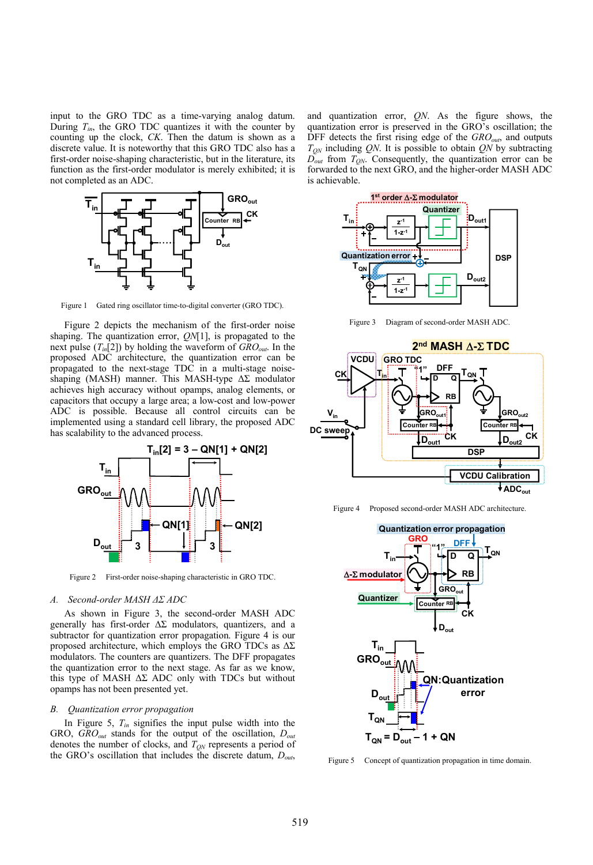input to the GRO TDC as a time-varying analog datum. During  $T_{in}$ , the GRO TDC quantizes it with the counter by counting up the clock, *CK*. Then the datum is shown as a discrete value. It is noteworthy that this GRO TDC also has a first-order noise-shaping characteristic, but in the literature, its function as the first-order modulator is merely exhibited; it is not completed as an ADC.



Figure 1 Gated ring oscillator time-to-digital converter (GRO TDC).

Figure 2 depicts the mechanism of the first-order noise shaping. The quantization error, *QN*[1], is propagated to the next pulse  $(T_{in}[2])$  by holding the waveform of  $GRO_{out}$ . In the proposed ADC architecture, the quantization error can be propagated to the next-stage TDC in a multi-stage noiseshaping (MASH) manner. This MASH-type ΔΣ modulator achieves high accuracy without opamps, analog elements, or capacitors that occupy a large area; a low-cost and low-power ADC is possible. Because all control circuits can be implemented using a standard cell library, the proposed ADC has scalability to the advanced process.



Figure 2 First-order noise-shaping characteristic in GRO TDC.

#### *A. Second-order MASH ΔΣ ADC*

As shown in Figure 3, the second-order MASH ADC generally has first-order  $\Delta \Sigma$  modulators, quantizers, and a subtractor for quantization error propagation. Figure 4 is our proposed architecture, which employs the GRO TDCs as  $\Delta\Sigma$ modulators. The counters are quantizers. The DFF propagates the quantization error to the next stage. As far as we know, this type of MASH  $\Delta\Sigma$  ADC only with TDCs but without opamps has not been presented yet.

#### *B. Quantization error propagation*

In Figure 5,  $T_{in}$  signifies the input pulse width into the GRO, *GROout* stands for the output of the oscillation, *Dout* denotes the number of clocks, and  $T_{ON}$  represents a period of the GRO's oscillation that includes the discrete datum, *Dout*,

and quantization error, *QN*. As the figure shows, the quantization error is preserved in the GRO's oscillation; the DFF detects the first rising edge of the *GRO*<sub>out</sub>, and outputs  $T_{ON}$  including *QN*. It is possible to obtain *QN* by subtracting  $\overline{D}_{out}$  from  $T_{ON}$ . Consequently, the quantization error can be forwarded to the next GRO, and the higher-order MASH ADC is achievable.



Figure 3 Diagram of second-order MASH ADC



Figure 4 Proposed second-order MASH ADC architecture.



Figure 5 Concept of quantization propagation in time domain.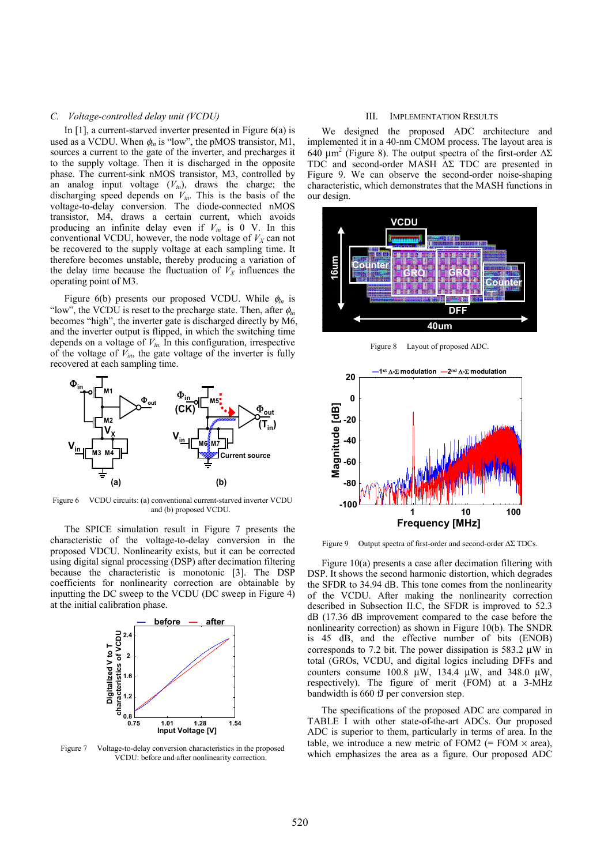## *C. Voltage-controlled delay unit (VCDU)*

In [1], a current-starved inverter presented in Figure 6(a) is used as a VCDU. When  $\phi$ <sub>in</sub> is "low", the pMOS transistor, M1, sources a current to the gate of the inverter, and precharges it to the supply voltage. Then it is discharged in the opposite phase. The current-sink nMOS transistor, M3, controlled by an analog input voltage (*Vin*), draws the charge; the discharging speed depends on *Vin*. This is the basis of the voltage-to-delay conversion. The diode-connected nMOS transistor, M4, draws a certain current, which avoids producing an infinite delay even if  $V_{in}$  is 0 V. In this conventional VCDU, however, the node voltage of  $V_X$  can not be recovered to the supply voltage at each sampling time. It therefore becomes unstable, thereby producing a variation of the delay time because the fluctuation of  $V_X$  influences the operating point of M3.

Figure 6(b) presents our proposed VCDU. While φ*in* is "low", the VCDU is reset to the precharge state. Then, after  $\phi$ <sub>in</sub> becomes "high", the inverter gate is discharged directly by M6, and the inverter output is flipped, in which the switching time depends on a voltage of  $V_{in}$ . In this configuration, irrespective of the voltage of  $\tilde{V}_{in}$ , the gate voltage of the inverter is fully recovered at each sampling time.



Figure 6 VCDU circuits: (a) conventional current-starved inverter VCDU and (b) proposed VCDU.

The SPICE simulation result in Figure 7 presents the characteristic of the voltage-to-delay conversion in the proposed VDCU. Nonlinearity exists, but it can be corrected using digital signal processing (DSP) after decimation filtering because the characteristic is monotonic [3]. The DSP coefficients for nonlinearity correction are obtainable by inputting the DC sweep to the VCDU (DC sweep in Figure 4) at the initial calibration phase.



Figure 7 Voltage-to-delay conversion characteristics in the proposed VCDU: before and after nonlinearity correction.

## III. IMPLEMENTATION RESULTS

We designed the proposed ADC architecture and implemented it in a 40-nm CMOM process. The layout area is 640 μm<sup>2</sup> (Figure 8). The output spectra of the first-order  $ΔΣ$ TDC and second-order MASH ΔΣ TDC are presented in Figure 9. We can observe the second-order noise-shaping characteristic, which demonstrates that the MASH functions in our design.



Figure 8 Layout of proposed ADC



Figure 9 Output spectra of first-order and second-order ΔΣ TDCs.

Figure 10(a) presents a case after decimation filtering with DSP. It shows the second harmonic distortion, which degrades the SFDR to 34.94 dB. This tone comes from the nonlinearity of the VCDU. After making the nonlinearity correction described in Subsection II.C, the SFDR is improved to 52.3 dB (17.36 dB improvement compared to the case before the nonlinearity correction) as shown in Figure 10(b). The SNDR is 45 dB, and the effective number of bits (ENOB) corresponds to 7.2 bit. The power dissipation is 583.2 μW in total (GROs, VCDU, and digital logics including DFFs and counters consume 100.8  $\mu$ W, 134.4  $\mu$ W, and 348.0  $\mu$ W, respectively). The figure of merit (FOM) at a 3-MHz bandwidth is 660 fJ per conversion step.

The specifications of the proposed ADC are compared in TABLE I with other state-of-the-art ADCs. Our proposed ADC is superior to them, particularly in terms of area. In the table, we introduce a new metric of FOM2  $(=$  FOM  $\times$  area). which emphasizes the area as a figure. Our proposed ADC